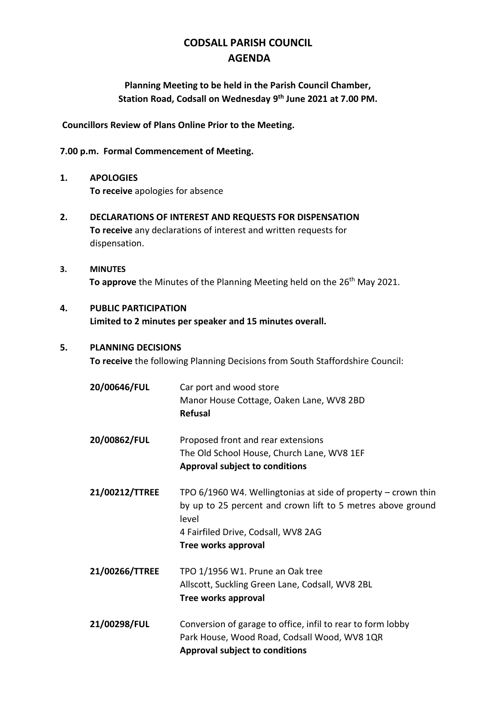# **CODSALL PARISH COUNCIL AGENDA**

## **Planning Meeting to be held in the Parish Council Chamber, Station Road, Codsall on Wednesday 9 th June 2021 at 7.00 PM.**

**Councillors Review of Plans Online Prior to the Meeting.**

### **7.00 p.m. Formal Commencement of Meeting.**

- **1. APOLOGIES To receive** apologies for absence
- **2. DECLARATIONS OF INTEREST AND REQUESTS FOR DISPENSATION To receive** any declarations of interest and written requests for dispensation.
- **3. MINUTES** To approve the Minutes of the Planning Meeting held on the 26<sup>th</sup> May 2021.

## **4. PUBLIC PARTICIPATION Limited to 2 minutes per speaker and 15 minutes overall.**

### **5. PLANNING DECISIONS**

**To receive** the following Planning Decisions from South Staffordshire Council:

| 20/00646/FUL   | Car port and wood store<br>Manor House Cottage, Oaken Lane, WV8 2BD<br><b>Refusal</b>                                                                                                                 |
|----------------|-------------------------------------------------------------------------------------------------------------------------------------------------------------------------------------------------------|
| 20/00862/FUL   | Proposed front and rear extensions<br>The Old School House, Church Lane, WV8 1EF<br><b>Approval subject to conditions</b>                                                                             |
| 21/00212/TTREE | TPO $6/1960$ W4. Wellingtonias at side of property – crown thin<br>by up to 25 percent and crown lift to 5 metres above ground<br>level<br>4 Fairfiled Drive, Codsall, WV8 2AG<br>Tree works approval |
| 21/00266/TTREE | TPO 1/1956 W1. Prune an Oak tree<br>Allscott, Suckling Green Lane, Codsall, WV8 2BL<br>Tree works approval                                                                                            |
| 21/00298/FUL   | Conversion of garage to office, infil to rear to form lobby<br>Park House, Wood Road, Codsall Wood, WV8 1QR<br><b>Approval subject to conditions</b>                                                  |